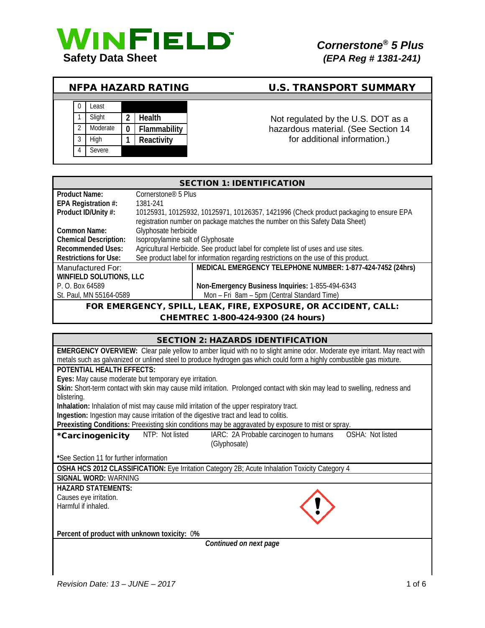

# NFPA HAZARD RATING U.S. TRANSPORT SUMMARY



# Not regulated by the U.S. DOT as a hazardous material. (See Section 14 for additional information.)

| <b>SECTION 1: IDENTIFICATION</b> |                                   |                                                                                        |  |
|----------------------------------|-----------------------------------|----------------------------------------------------------------------------------------|--|
| <b>Product Name:</b>             | Cornerstone <sup>®</sup> 5 Plus   |                                                                                        |  |
| EPA Registration #:              | 1381-241                          |                                                                                        |  |
| Product ID/Unity #:              |                                   | 10125931, 10125932, 10125971, 10126357, 1421996 (Check product packaging to ensure EPA |  |
|                                  |                                   | registration number on package matches the number on this Safety Data Sheet)           |  |
| Common Name:                     | Glyphosate herbicide              |                                                                                        |  |
| <b>Chemical Description:</b>     | Isopropylamine salt of Glyphosate |                                                                                        |  |
| <b>Recommended Uses:</b>         |                                   | Agricultural Herbicide. See product label for complete list of uses and use sites.     |  |
| <b>Restrictions for Use:</b>     |                                   | See product label for information regarding restrictions on the use of this product.   |  |
| Manufactured For:                |                                   | MEDICAL EMERGENCY TELEPHONE NUMBER: 1-877-424-7452 (24hrs)                             |  |
| <b>WINFIELD SOLUTIONS, LLC</b>   |                                   |                                                                                        |  |
| P. O. Box 64589                  |                                   | Non-Emergency Business Inquiries: 1-855-494-6343                                       |  |
| St. Paul, MN 55164-0589          |                                   | Mon - Fri 8am - 5pm (Central Standard Time)                                            |  |
| EOD EMEDCENCY                    | SDIL I                            | EAV EIDE EVDOSLIDE OD ACCIDENT CALL.                                                   |  |

#### R EMERGENCY, SPILL, LEAK, FIRE, EXPOSURE, OR ACCIDENT, CALL: CHEMTREC 1-800-424-9300 (24 hours)

| <b>SECTION 2: HAZARDS IDENTIFICATION</b>                                                                                    |  |  |
|-----------------------------------------------------------------------------------------------------------------------------|--|--|
| EMERGENCY OVERVIEW: Clear pale yellow to amber liquid with no to slight amine odor. Moderate eye irritant. May react with   |  |  |
| metals such as galvanized or unlined steel to produce hydrogen gas which could form a highly combustible gas mixture.       |  |  |
| POTENTIAL HEALTH EFFECTS:                                                                                                   |  |  |
| Eyes: May cause moderate but temporary eye irritation.                                                                      |  |  |
| Skin: Short-term contact with skin may cause mild irritation. Prolonged contact with skin may lead to swelling, redness and |  |  |
| blistering.                                                                                                                 |  |  |
| Inhalation: Inhalation of mist may cause mild irritation of the upper respiratory tract.                                    |  |  |
| Ingestion: Ingestion may cause irritation of the digestive tract and lead to colitis.                                       |  |  |
| Preexisting Conditions: Preexisting skin conditions may be aggravated by exposure to mist or spray.                         |  |  |
| OSHA: Not listed<br>NTP: Not listed<br>IARC: 2A Probable carcinogen to humans<br>*Carcinogenicity<br>(Glyphosate)           |  |  |
| *See Section 11 for further information                                                                                     |  |  |
| OSHA HCS 2012 CLASSIFICATION: Eye Irritation Category 2B; Acute Inhalation Toxicity Category 4                              |  |  |
| SIGNAL WORD: WARNING                                                                                                        |  |  |
| <b>HAZARD STATEMENTS:</b>                                                                                                   |  |  |
| Causes eye irritation.                                                                                                      |  |  |
| Harmful if inhaled.                                                                                                         |  |  |
|                                                                                                                             |  |  |
| Percent of product with unknown toxicity: 0%                                                                                |  |  |
| Continued on next page                                                                                                      |  |  |
|                                                                                                                             |  |  |
|                                                                                                                             |  |  |

 $\mathbf l$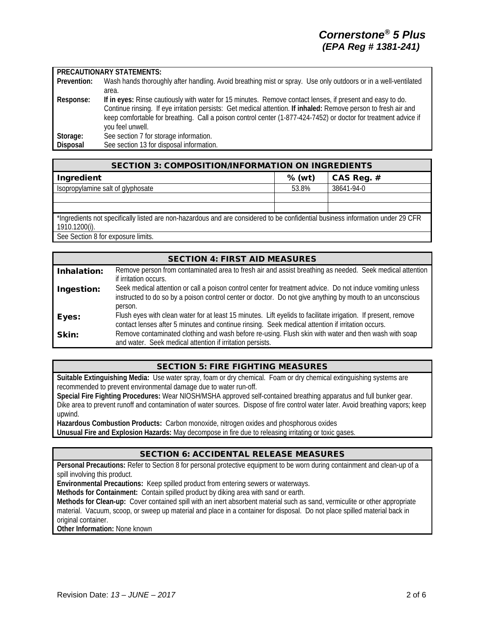#### **PRECAUTIONARY STATEMENTS:**

| Prevention: | Wash hands thoroughly after handling. Avoid breathing mist or spray. Use only outdoors or in a well-ventilated  |
|-------------|-----------------------------------------------------------------------------------------------------------------|
|             | area.                                                                                                           |
| Response:   | If in eyes: Rinse cautiously with water for 15 minutes. Remove contact lenses, if present and easy to do.       |
|             | Continue rinsing. If eye irritation persists: Get medical attention. If inhaled: Remove person to fresh air and |
|             | keep comfortable for breathing. Call a poison control center (1-877-424-7452) or doctor for treatment advice if |
|             | you feel unwell.                                                                                                |
| Storage:    | See section 7 for storage information.                                                                          |
| Disposal    | See section 13 for disposal information.                                                                        |

| <b>SECTION 3: COMPOSITION/INFORMATION ON INGREDIENTS</b>                                                                                        |        |              |
|-------------------------------------------------------------------------------------------------------------------------------------------------|--------|--------------|
| Ingredient                                                                                                                                      | % (wt) | CAS Reg. $#$ |
| Isopropylamine salt of glyphosate                                                                                                               | 53.8%  | 38641-94-0   |
|                                                                                                                                                 |        |              |
|                                                                                                                                                 |        |              |
| *Ingredients not specifically listed are non-hazardous and are considered to be confidential business information under 29 CFR<br>1910.1200(i). |        |              |
| Soo Soction 0 for ovnocura limita                                                                                                               |        |              |

See Section 8 for exposure limits.

## SECTION 4: FIRST AID MEASURES Inhalation: Remove person from contaminated area to fresh air and assist breathing as needed. Seek medical attention if irritation occurs. Ingestion: Seek medical attention or call a poison control center for treatment advice. Do not induce vomiting unless instructed to do so by a poison control center or doctor. Do not give anything by mouth to an unconscious person. Eyes: Flush eyes with clean water for at least 15 minutes. Lift eyelids to facilitate irrigation. If present, remove contact lenses after 5 minutes and continue rinsing. Seek medical attention if irritation occurs. Skin: Remove contaminated clothing and wash before re-using. Flush skin with water and then wash with soap and water. Seek medical attention if irritation persists.

## SECTION 5: FIRE FIGHTING MEASURES

**Suitable Extinguishing Media:** Use water spray, foam or dry chemical. Foam or dry chemical extinguishing systems are recommended to prevent environmental damage due to water run-off.

**Special Fire Fighting Procedures:** Wear NIOSH/MSHA approved self-contained breathing apparatus and full bunker gear. Dike area to prevent runoff and contamination of water sources. Dispose of fire control water later. Avoid breathing vapors; keep upwind.

**Hazardous Combustion Products:** Carbon monoxide, nitrogen oxides and phosphorous oxides

**Unusual Fire and Explosion Hazards:** May decompose in fire due to releasing irritating or toxic gases.

# SECTION 6: ACCIDENTAL RELEASE MEASURES

**Personal Precautions:** Refer to Section 8 for personal protective equipment to be worn during containment and clean-up of a spill involving this product.

**Environmental Precautions:** Keep spilled product from entering sewers or waterways.

**Methods for Containment:** Contain spilled product by diking area with sand or earth.

**Methods for Clean-up:** Cover contained spill with an inert absorbent material such as sand, vermiculite or other appropriate material. Vacuum, scoop, or sweep up material and place in a container for disposal. Do not place spilled material back in original container.

**Other Information:** None known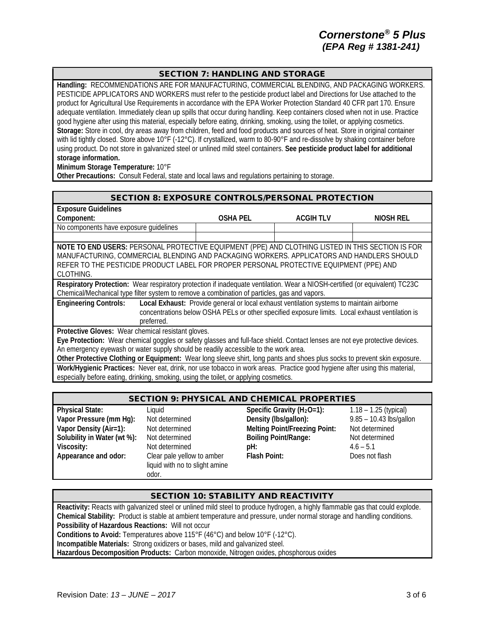## SECTION 7: HANDLING AND STORAGE

**Handling:** RECOMMENDATIONS ARE FOR MANUFACTURING, COMMERCIAL BLENDING, AND PACKAGING WORKERS. PESTICIDE APPLICATORS AND WORKERS must refer to the pesticide product label and Directions for Use attached to the product for Agricultural Use Requirements in accordance with the EPA Worker Protection Standard 40 CFR part 170. Ensure adequate ventilation. Immediately clean up spills that occur during handling. Keep containers closed when not in use. Practice good hygiene after using this material, especially before eating, drinking, smoking, using the toilet, or applying cosmetics. **Storage:** Store in cool, dry areas away from children, feed and food products and sources of heat. Store in original container with lid tightly closed. Store above 10°F (-12°C). If crystallized, warm to 80-90°F and re-dissolve by shaking container before using product. Do not store in galvanized steel or unlined mild steel containers. **See pesticide product label for additional storage information.**

**Minimum Storage Temperature:** 10°F

**Other Precautions:** Consult Federal, state and local laws and regulations pertaining to storage.

#### SECTION 8: EXPOSURE CONTROLS/PERSONAL PROTECTION

| <b>Exposure Guidelines</b>                                                                                                   |                                                                                                 |                  |           |
|------------------------------------------------------------------------------------------------------------------------------|-------------------------------------------------------------------------------------------------|------------------|-----------|
| Component:                                                                                                                   | <b>OSHA PEL</b>                                                                                 | <b>ACGIH TLV</b> | NIOSH REL |
| No components have exposure guidelines                                                                                       |                                                                                                 |                  |           |
|                                                                                                                              |                                                                                                 |                  |           |
| NOTE TO END USERS: PERSONAL PROTECTIVE EQUIPMENT (PPE) AND CLOTHING LISTED IN THIS SECTION IS FOR                            |                                                                                                 |                  |           |
| MANUFACTURING, COMMERCIAL BLENDING AND PACKAGING WORKERS. APPLICATORS AND HANDLERS SHOULD                                    |                                                                                                 |                  |           |
| REFER TO THE PESTICIDE PRODUCT LABEL FOR PROPER PERSONAL PROTECTIVE EQUIPMENT (PPE) AND                                      |                                                                                                 |                  |           |
| CLOTHING.                                                                                                                    |                                                                                                 |                  |           |
| Respiratory Protection: Wear respiratory protection if inadequate ventilation. Wear a NIOSH-certified (or equivalent) TC23C  |                                                                                                 |                  |           |
| Chemical/Mechanical type filter system to remove a combination of particles, gas and vapors.                                 |                                                                                                 |                  |           |
| <b>Engineering Controls:</b>                                                                                                 | Local Exhaust: Provide general or local exhaust ventilation systems to maintain airborne        |                  |           |
|                                                                                                                              | concentrations below OSHA PELs or other specified exposure limits. Local exhaust ventilation is |                  |           |
| preferred.                                                                                                                   |                                                                                                 |                  |           |
| Protective Gloves: Wear chemical resistant gloves.                                                                           |                                                                                                 |                  |           |
| Eye Protection: Wear chemical goggles or safety glasses and full-face shield. Contact lenses are not eye protective devices. |                                                                                                 |                  |           |
| An emergency eyewash or water supply should be readily accessible to the work area.                                          |                                                                                                 |                  |           |
| Other Protective Clothing or Equipment: Wear long sleeve shirt, long pants and shoes plus socks to prevent skin exposure.    |                                                                                                 |                  |           |
| Work/Hygienic Practices: Never eat, drink, nor use tobacco in work areas. Practice good hygiene after using this material,   |                                                                                                 |                  |           |
| especially before eating, drinking, smoking, using the toilet, or applying cosmetics.                                        |                                                                                                 |                  |           |

#### SECTION 9: PHYSICAL AND CHEMICAL PROPERTIES

| <b>Physical State:</b>      | Liquid                                                                | Specific Gravity ( $H_2O=1$ ):       | $1.18 - 1.25$ (typical) |
|-----------------------------|-----------------------------------------------------------------------|--------------------------------------|-------------------------|
| Vapor Pressure (mm Hg):     | Not determined                                                        | Density (Ibs/gallon):                | 9.85 - 10.43 lbs/gallon |
| Vapor Density (Air=1):      | Not determined                                                        | <b>Melting Point/Freezing Point:</b> | Not determined          |
| Solubility in Water (wt %): | Not determined                                                        | <b>Boiling Point/Range:</b>          | Not determined          |
| Viscosity:                  | Not determined                                                        | pH:                                  | $4.6 - 5.1$             |
| Appearance and odor:        | Clear pale yellow to amber<br>liquid with no to slight amine<br>odor. | Flash Point:                         | Does not flash          |

#### SECTION 10: STABILITY AND REACTIVITY

**Reactivity:** Reacts with galvanized steel or unlined mild steel to produce hydrogen, a highly flammable gas that could explode. **Chemical Stability:** Product is stable at ambient temperature and pressure, under normal storage and handling conditions. **Possibility of Hazardous Reactions:** Will not occur **Conditions to Avoid:** Temperatures above 115°F (46°C) and below 10°F (-12°C). **Incompatible Materials:** Strong oxidizers or bases, mild and galvanized steel. **Hazardous Decomposition Products:** Carbon monoxide, Nitrogen oxides, phosphorous oxides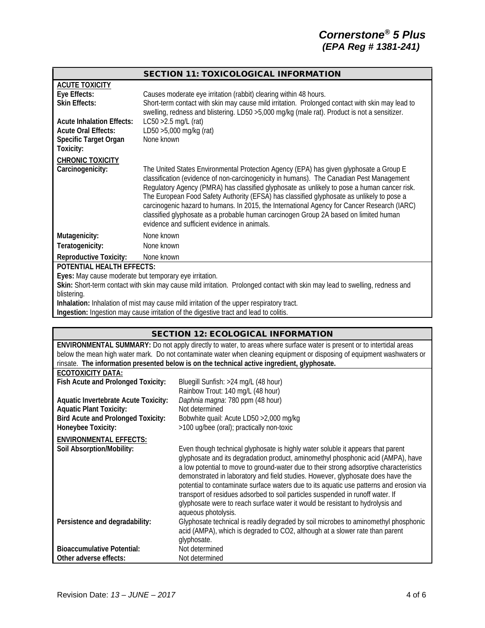## SECTION 11: TOXICOLOGICAL INFORMATION

| <b>ACUTE TOXICITY</b>                                  |                                                                                                                                                                                                                                                                                                                                                                                                                                                                                                                                                                                                                       |
|--------------------------------------------------------|-----------------------------------------------------------------------------------------------------------------------------------------------------------------------------------------------------------------------------------------------------------------------------------------------------------------------------------------------------------------------------------------------------------------------------------------------------------------------------------------------------------------------------------------------------------------------------------------------------------------------|
| Eye Effects:                                           | Causes moderate eye irritation (rabbit) clearing within 48 hours.                                                                                                                                                                                                                                                                                                                                                                                                                                                                                                                                                     |
| <b>Skin Effects:</b>                                   | Short-term contact with skin may cause mild irritation. Prolonged contact with skin may lead to                                                                                                                                                                                                                                                                                                                                                                                                                                                                                                                       |
| <b>Acute Inhalation Effects:</b>                       | swelling, redness and blistering. LD50 >5,000 mg/kg (male rat). Product is not a sensitizer.                                                                                                                                                                                                                                                                                                                                                                                                                                                                                                                          |
|                                                        | $LC50 > 2.5$ mg/L (rat)                                                                                                                                                                                                                                                                                                                                                                                                                                                                                                                                                                                               |
| <b>Acute Oral Effects:</b>                             | LD50 >5,000 mg/kg (rat)                                                                                                                                                                                                                                                                                                                                                                                                                                                                                                                                                                                               |
| Specific Target Organ                                  | None known                                                                                                                                                                                                                                                                                                                                                                                                                                                                                                                                                                                                            |
| Toxicity:                                              |                                                                                                                                                                                                                                                                                                                                                                                                                                                                                                                                                                                                                       |
| <b>CHRONIC TOXICITY</b>                                |                                                                                                                                                                                                                                                                                                                                                                                                                                                                                                                                                                                                                       |
| Carcinogenicity:                                       | The United States Environmental Protection Agency (EPA) has given glyphosate a Group E<br>classification (evidence of non-carcinogenicity in humans). The Canadian Pest Management<br>Regulatory Agency (PMRA) has classified glyphosate as unlikely to pose a human cancer risk.<br>The European Food Safety Authority (EFSA) has classified glyphosate as unlikely to pose a<br>carcinogenic hazard to humans. In 2015, the International Agency for Cancer Research (IARC)<br>classified glyphosate as a probable human carcinogen Group 2A based on limited human<br>evidence and sufficient evidence in animals. |
| Mutagenicity:                                          | None known                                                                                                                                                                                                                                                                                                                                                                                                                                                                                                                                                                                                            |
| Teratogenicity:                                        | None known                                                                                                                                                                                                                                                                                                                                                                                                                                                                                                                                                                                                            |
| <b>Reproductive Toxicity:</b>                          | None known                                                                                                                                                                                                                                                                                                                                                                                                                                                                                                                                                                                                            |
| <b>POTENTIAL HEALTH EFFECTS:</b>                       |                                                                                                                                                                                                                                                                                                                                                                                                                                                                                                                                                                                                                       |
| Eyes: May cause moderate but temporary eye irritation. |                                                                                                                                                                                                                                                                                                                                                                                                                                                                                                                                                                                                                       |
|                                                        | Skin: Short-term contact with skin may cause mild irritation. Prolonged contact with skin may lead to swelling, redness and                                                                                                                                                                                                                                                                                                                                                                                                                                                                                           |
| blistering.                                            |                                                                                                                                                                                                                                                                                                                                                                                                                                                                                                                                                                                                                       |

**Inhalation:** Inhalation of mist may cause mild irritation of the upper respiratory tract.

**Ingestion:** Ingestion may cause irritation of the digestive tract and lead to colitis.

|                                                                                                                          | <b>SECTION 12: ECOLOGICAL INFORMATION</b>                                                   |  |  |
|--------------------------------------------------------------------------------------------------------------------------|---------------------------------------------------------------------------------------------|--|--|
| ENVIRONMENTAL SUMMARY: Do not apply directly to water, to areas where surface water is present or to intertidal areas    |                                                                                             |  |  |
| below the mean high water mark. Do not contaminate water when cleaning equipment or disposing of equipment washwaters or |                                                                                             |  |  |
|                                                                                                                          | rinsate. The information presented below is on the technical active ingredient, glyphosate. |  |  |
| <b>ECOTOXICITY DATA:</b>                                                                                                 |                                                                                             |  |  |
| Fish Acute and Prolonged Toxicity:                                                                                       | Bluegill Sunfish: >24 mg/L (48 hour)                                                        |  |  |
|                                                                                                                          | Rainbow Trout: 140 mg/L (48 hour)                                                           |  |  |
| <b>Aquatic Invertebrate Acute Toxicity:</b>                                                                              | Daphnia magna: 780 ppm (48 hour)                                                            |  |  |
| <b>Aquatic Plant Toxicity:</b>                                                                                           | Not determined                                                                              |  |  |
| <b>Bird Acute and Prolonged Toxicity:</b>                                                                                | Bobwhite quail: Acute LD50 > 2,000 mg/kg                                                    |  |  |
| Honeybee Toxicity:                                                                                                       | >100 ug/bee (oral); practically non-toxic                                                   |  |  |
| <b>ENVIRONMENTAL EFFECTS:</b>                                                                                            |                                                                                             |  |  |
| Soil Absorption/Mobility:                                                                                                | Even though technical glyphosate is highly water soluble it appears that parent             |  |  |
|                                                                                                                          | glyphosate and its degradation product, aminomethyl phosphonic acid (AMPA), have            |  |  |
|                                                                                                                          | a low potential to move to ground-water due to their strong adsorptive characteristics      |  |  |
|                                                                                                                          | demonstrated in laboratory and field studies. However, glyphosate does have the             |  |  |
|                                                                                                                          | potential to contaminate surface waters due to its aquatic use patterns and erosion via     |  |  |
|                                                                                                                          | transport of residues adsorbed to soil particles suspended in runoff water. If              |  |  |
|                                                                                                                          | glyphosate were to reach surface water it would be resistant to hydrolysis and              |  |  |
|                                                                                                                          | aqueous photolysis.                                                                         |  |  |
| Persistence and degradability:                                                                                           | Glyphosate technical is readily degraded by soil microbes to aminomethyl phosphonic         |  |  |
|                                                                                                                          | acid (AMPA), which is degraded to CO2, although at a slower rate than parent                |  |  |
|                                                                                                                          | glyphosate.                                                                                 |  |  |
| <b>Bioaccumulative Potential:</b>                                                                                        | Not determined                                                                              |  |  |
| Other adverse effects:                                                                                                   | Not determined                                                                              |  |  |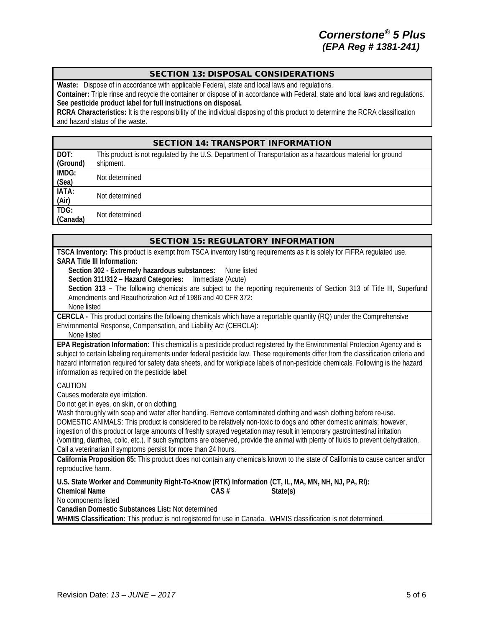# SECTION 13: DISPOSAL CONSIDERATIONS

**Waste:** Dispose of in accordance with applicable Federal, state and local laws and regulations.

**Container:** Triple rinse and recycle the container or dispose of in accordance with Federal, state and local laws and regulations. **See pesticide product label for full instructions on disposal.**

**RCRA Characteristics:** It is the responsibility of the individual disposing of this product to determine the RCRA classification and hazard status of the waste.

|                  | <b>SECTION 14: TRANSPORT INFORMATION</b>                                                                  |
|------------------|-----------------------------------------------------------------------------------------------------------|
| DOT:             | This product is not regulated by the U.S. Department of Transportation as a hazardous material for ground |
| (Ground)         | shipment.                                                                                                 |
| IMDG:<br>(Sea)   | Not determined                                                                                            |
| IATA:<br>(Air)   | Not determined                                                                                            |
| TDG:<br>(Canada) | Not determined                                                                                            |

| <b>SECTION 15: REGULATORY INFORMATION</b>                                                                                                                                                                                                                                                                                                                                                               |
|---------------------------------------------------------------------------------------------------------------------------------------------------------------------------------------------------------------------------------------------------------------------------------------------------------------------------------------------------------------------------------------------------------|
| TSCA Inventory: This product is exempt from TSCA inventory listing requirements as it is solely for FIFRA regulated use.<br><b>SARA Title III Information:</b>                                                                                                                                                                                                                                          |
| Section 302 - Extremely hazardous substances:<br>None listed                                                                                                                                                                                                                                                                                                                                            |
| Section 311/312 - Hazard Categories:<br>Immediate (Acute)                                                                                                                                                                                                                                                                                                                                               |
| Section 313 - The following chemicals are subject to the reporting requirements of Section 313 of Title III, Superfund<br>Amendments and Reauthorization Act of 1986 and 40 CFR 372:<br>None listed                                                                                                                                                                                                     |
| CERCLA - This product contains the following chemicals which have a reportable quantity (RQ) under the Comprehensive                                                                                                                                                                                                                                                                                    |
| Environmental Response, Compensation, and Liability Act (CERCLA):<br>None listed                                                                                                                                                                                                                                                                                                                        |
| EPA Registration Information: This chemical is a pesticide product registered by the Environmental Protection Agency and is<br>subject to certain labeling requirements under federal pesticide law. These requirements differ from the classification criteria and<br>hazard information required for safety data sheets, and for workplace labels of non-pesticide chemicals. Following is the hazard |
| information as required on the pesticide label:                                                                                                                                                                                                                                                                                                                                                         |
| CAUTION<br>Causes moderate eye irritation.<br>Do not get in eyes, on skin, or on clothing.                                                                                                                                                                                                                                                                                                              |
| Wash thoroughly with soap and water after handling. Remove contaminated clothing and wash clothing before re-use.<br>DOMESTIC ANIMALS: This product is considered to be relatively non-toxic to dogs and other domestic animals; however,                                                                                                                                                               |
| ingestion of this product or large amounts of freshly sprayed vegetation may result in temporary gastrointestinal irritation                                                                                                                                                                                                                                                                            |
| (vomiting, diarrhea, colic, etc.). If such symptoms are observed, provide the animal with plenty of fluids to prevent dehydration.<br>Call a veterinarian if symptoms persist for more than 24 hours.                                                                                                                                                                                                   |
| California Proposition 65: This product does not contain any chemicals known to the state of California to cause cancer and/or<br>reproductive harm.                                                                                                                                                                                                                                                    |
| U.S. State Worker and Community Right-To-Know (RTK) Information (CT, IL, MA, MN, NH, NJ, PA, RI):                                                                                                                                                                                                                                                                                                       |
| <b>Chemical Name</b><br>CAS#<br>State(s)                                                                                                                                                                                                                                                                                                                                                                |
| No components listed                                                                                                                                                                                                                                                                                                                                                                                    |
| Canadian Domestic Substances List: Not determined                                                                                                                                                                                                                                                                                                                                                       |
| WHMIS Classification: This product is not registered for use in Canada. WHMIS classification is not determined.                                                                                                                                                                                                                                                                                         |